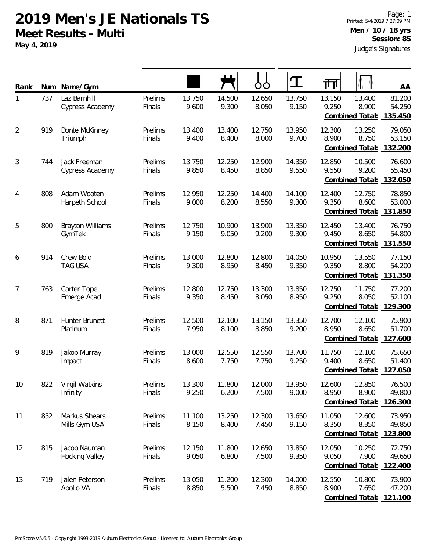**May 4, 2019**

| Rank | Num | Name/Gym                               |                   |                 |                 | OO              |                 | गा              |                                            | AA                          |
|------|-----|----------------------------------------|-------------------|-----------------|-----------------|-----------------|-----------------|-----------------|--------------------------------------------|-----------------------------|
| 1    | 737 | Laz Barnhill<br>Cypress Academy        | Prelims<br>Finals | 13.750<br>9.600 | 14.500<br>9.300 | 12.650<br>8.050 | 13.750<br>9.150 | 13.150<br>9.250 | 13.400<br>8.900<br>Combined Total:         | 81.200<br>54.250<br>135.450 |
| 2    | 919 | Donte McKinney<br>Triumph              | Prelims<br>Finals | 13.400<br>9.400 | 13.400<br>8.400 | 12.750<br>8.000 | 13.950<br>9.700 | 12.300<br>8.900 | 13.250<br>8.750<br>Combined Total:         | 79.050<br>53.150<br>132.200 |
| 3    | 744 | Jack Freeman<br><b>Cypress Academy</b> | Prelims<br>Finals | 13.750<br>9.850 | 12.250<br>8.450 | 12.900<br>8.850 | 14.350<br>9.550 | 12.850<br>9.550 | 10.500<br>9.200<br><b>Combined Total:</b>  | 76.600<br>55.450<br>132.050 |
| 4    | 808 | Adam Wooten<br>Harpeth School          | Prelims<br>Finals | 12.950<br>9.000 | 12.250<br>8.200 | 14.400<br>8.550 | 14.100<br>9.300 | 12.400<br>9.350 | 12.750<br>8.600<br>Combined Total:         | 78.850<br>53.000<br>131.850 |
| 5    | 800 | <b>Brayton Williams</b><br>GymTek      | Prelims<br>Finals | 12.750<br>9.150 | 10.900<br>9.050 | 13.900<br>9.200 | 13.350<br>9.300 | 12.450<br>9.450 | 13.400<br>8.650<br>Combined Total:         | 76.750<br>54.800<br>131.550 |
| 6    | 914 | Crew Bold<br><b>TAG USA</b>            | Prelims<br>Finals | 13.000<br>9.300 | 12.800<br>8.950 | 12.800<br>8.450 | 14.050<br>9.350 | 10.950<br>9.350 | 13.550<br>8.800<br>Combined Total:         | 77.150<br>54.200<br>131.350 |
| 7    | 763 | Carter Tope<br>Emerge Acad             | Prelims<br>Finals | 12.800<br>9.350 | 12.750<br>8.450 | 13.300<br>8.050 | 13.850<br>8.950 | 12.750<br>9.250 | 11.750<br>8.050<br>Combined Total:         | 77.200<br>52.100<br>129.300 |
| 8    | 871 | Hunter Brunett<br>Platinum             | Prelims<br>Finals | 12.500<br>7.950 | 12.100<br>8.100 | 13.150<br>8.850 | 13.350<br>9.200 | 12.700<br>8.950 | 12.100<br>8.650<br>Combined Total:         | 75.900<br>51.700<br>127.600 |
| 9    | 819 | Jakob Murray<br>Impact                 | Prelims<br>Finals | 13.000<br>8.600 | 12.550<br>7.750 | 12.550<br>7.750 | 13.700<br>9.250 | 11.750<br>9.400 | 12.100<br>8.650<br>Combined Total:         | 75.650<br>51.400<br>127.050 |
| 10   | 822 | Virgil Watkins<br>Infinity             | Prelims<br>Finals | 13.300<br>9.250 | 11.800<br>6.200 | 12.000<br>7.500 | 13.950<br>9.000 | 12.600<br>8.950 | 12.850<br>8.900<br>Combined Total:         | 76.500<br>49.800<br>126.300 |
| 11   | 852 | Markus Shears<br>Mills Gym USA         | Prelims<br>Finals | 11.100<br>8.150 | 13.250<br>8.400 | 12.300<br>7.450 | 13.650<br>9.150 | 11.050<br>8.350 | 12.600<br>8.350<br>Combined Total:         | 73.950<br>49.850<br>123.800 |
| 12   | 815 | Jacob Nauman<br>Hocking Valley         | Prelims<br>Finals | 12.150<br>9.050 | 11.800<br>6.800 | 12.650<br>7.500 | 13.850<br>9.350 | 12.050<br>9.050 | 10.250<br>7.900<br>Combined Total:         | 72.750<br>49.650<br>122.400 |
| 13   | 719 | Jalen Peterson<br>Apollo VA            | Prelims<br>Finals | 13.050<br>8.850 | 11.200<br>5.500 | 12.300<br>7.450 | 14.000<br>8.850 | 12.550<br>8.900 | 10.800<br>7.650<br>Combined Total: 121.100 | 73.900<br>47.200            |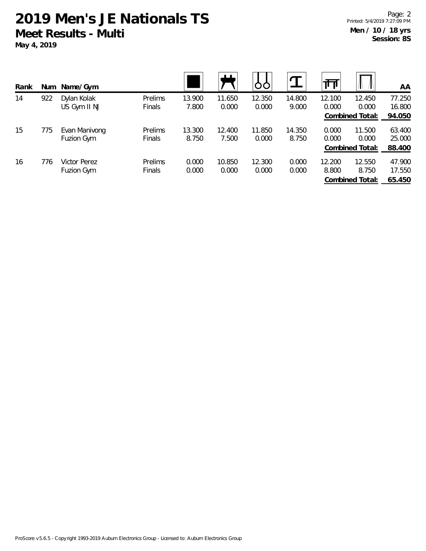| Rank | Num | Name/Gym      |                |        | பட     |        |        | ш      |                 | AA     |
|------|-----|---------------|----------------|--------|--------|--------|--------|--------|-----------------|--------|
| 14   | 922 | Dylan Kolak   | <b>Prelims</b> | 13.900 | 11.650 | 12.350 | 14.800 | 12.100 | 12.450          | 77.250 |
|      |     | US Gym II NJ  | Finals         | 7.800  | 0.000  | 0.000  | 9.000  | 0.000  | 0.000           | 16.800 |
|      |     |               |                |        |        |        |        |        | Combined Total: | 94.050 |
| 15   | 775 | Evan Manivong | <b>Prelims</b> | 13.300 | 12.400 | 11.850 | 14.350 | 0.000  | 11.500          | 63.400 |
|      |     | Fuzion Gym    | <b>Finals</b>  | 8.750  | 7.500  | 0.000  | 8.750  | 0.000  | 0.000           | 25.000 |
|      |     |               |                |        |        |        |        |        | Combined Total: | 88.400 |
| 16   | 776 | Victor Perez  | Prelims        | 0.000  | 10.850 | 12.300 | 0.000  | 12.200 | 12.550          | 47.900 |
|      |     | Fuzion Gym    | <b>Finals</b>  | 0.000  | 0.000  | 0.000  | 0.000  | 8.800  | 8.750           | 17.550 |
|      |     |               |                |        |        |        |        |        | Combined Total: | 65.450 |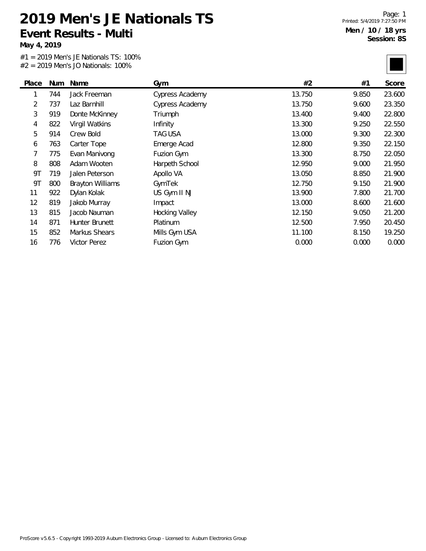**Event Results - Multi May 4, 2019**

**2019 Men's JE Nationals TS**

#1 = 2019 Men's JE Nationals TS: 100% #2 = 2019 Men's JO Nationals: 100%

Page: 1 Printed: 5/4/2019 7:27:50 PM **Men / 10 / 18 yrs Session: 8S**

| Place | Num | Name                    | Gym                   | #2     | #1    | Score  |
|-------|-----|-------------------------|-----------------------|--------|-------|--------|
| 1     | 744 | Jack Freeman            | Cypress Academy       | 13.750 | 9.850 | 23.600 |
| 2     | 737 | Laz Barnhill            | Cypress Academy       | 13.750 | 9.600 | 23.350 |
| 3     | 919 | Donte McKinney          | Triumph               | 13.400 | 9.400 | 22.800 |
| 4     | 822 | Virgil Watkins          | Infinity              | 13.300 | 9.250 | 22.550 |
| 5     | 914 | Crew Bold               | TAG USA               | 13.000 | 9.300 | 22.300 |
| 6     | 763 | Carter Tope             | Emerge Acad           | 12.800 | 9.350 | 22.150 |
| 7     | 775 | Evan Manivong           | Fuzion Gym            | 13.300 | 8.750 | 22.050 |
| 8     | 808 | Adam Wooten             | Harpeth School        | 12.950 | 9.000 | 21.950 |
| 9Τ    | 719 | Jalen Peterson          | Apollo VA             | 13.050 | 8.850 | 21.900 |
| 9T    | 800 | <b>Brayton Williams</b> | GymTek                | 12.750 | 9.150 | 21.900 |
| 11    | 922 | Dylan Kolak             | US Gym II NJ          | 13.900 | 7.800 | 21.700 |
| 12    | 819 | Jakob Murray            | Impact                | 13.000 | 8.600 | 21.600 |
| 13    | 815 | Jacob Nauman            | <b>Hocking Valley</b> | 12.150 | 9.050 | 21.200 |
| 14    | 871 | Hunter Brunett          | Platinum              | 12.500 | 7.950 | 20.450 |
| 15    | 852 | Markus Shears           | Mills Gym USA         | 11.100 | 8.150 | 19.250 |
| 16    | 776 | Victor Perez            | Fuzion Gym            | 0.000  | 0.000 | 0.000  |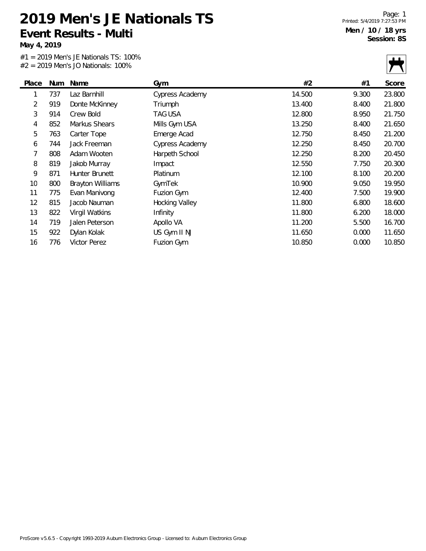**May 4, 2019**

#1 = 2019 Men's JE Nationals TS: 100% #2 = 2019 Men's JO Nationals: 100%

Page: 1 Printed: 5/4/2019 7:27:53 PM **Men / 10 / 18 yrs Session: 8S**

|       |     | $\pi z = z01$ with 3 JO Nationals. TOO 70 |                 |        |       |        |
|-------|-----|-------------------------------------------|-----------------|--------|-------|--------|
| Place | Num | Name                                      | Gym             | #2     | #1    | Score  |
| 1     | 737 | Laz Barnhill                              | Cypress Academy | 14.500 | 9.300 | 23.800 |
| 2     | 919 | Donte McKinney                            | Triumph         | 13.400 | 8.400 | 21.800 |
| 3     | 914 | Crew Bold                                 | TAG USA         | 12.800 | 8.950 | 21.750 |
| 4     | 852 | Markus Shears                             | Mills Gym USA   | 13.250 | 8.400 | 21.650 |
| 5     | 763 | Carter Tope                               | Emerge Acad     | 12.750 | 8.450 | 21.200 |
| 6     | 744 | Jack Freeman                              | Cypress Academy | 12.250 | 8.450 | 20.700 |
| 7     | 808 | Adam Wooten                               | Harpeth School  | 12.250 | 8.200 | 20.450 |
| 8     | 819 | Jakob Murray                              | Impact          | 12.550 | 7.750 | 20.300 |
| 9     | 871 | Hunter Brunett                            | Platinum        | 12.100 | 8.100 | 20.200 |
| 10    | 800 | <b>Brayton Williams</b>                   | GymTek          | 10.900 | 9.050 | 19.950 |
| 11    | 775 | Evan Manivong                             | Fuzion Gym      | 12.400 | 7.500 | 19.900 |
| 12    | 815 | Jacob Nauman                              | Hocking Valley  | 11.800 | 6.800 | 18.600 |
| 13    | 822 | Virgil Watkins                            | Infinity        | 11.800 | 6.200 | 18.000 |
| 14    | 719 | Jalen Peterson                            | Apollo VA       | 11.200 | 5.500 | 16.700 |
| 15    | 922 | Dylan Kolak                               | US Gym II NJ    | 11.650 | 0.000 | 11.650 |
| 16    | 776 | Victor Perez                              | Fuzion Gym      | 10.850 | 0.000 | 10.850 |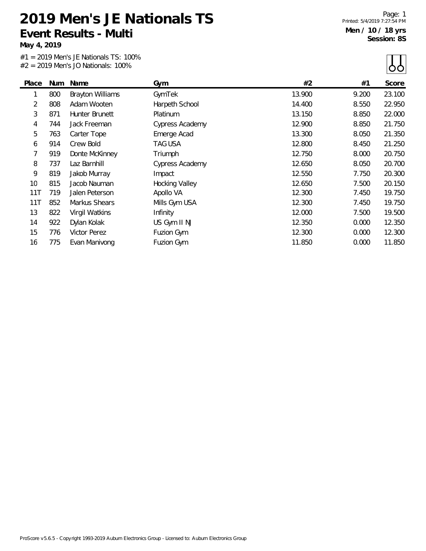**May 4, 2019**

#1 = 2019 Men's JE Nationals TS: 100%  $#2 = 2019$  Men's IO Nationals: 100%

Page: 1 Printed: 5/4/2019 7:27:54 PM **Men / 10 / 18 yrs Session: 8S**

 $\Box$ 

|       |     | $#Z = 2019$ Merry JO Nationals: 100% |                        |        |       | OO.    |
|-------|-----|--------------------------------------|------------------------|--------|-------|--------|
| Place | Num | Name                                 | Gym                    | #2     | #1    | Score  |
| 1     | 800 | <b>Brayton Williams</b>              | GymTek                 | 13.900 | 9.200 | 23.100 |
| 2     | 808 | Adam Wooten                          | Harpeth School         | 14.400 | 8.550 | 22.950 |
| 3     | 871 | Hunter Brunett                       | Platinum               | 13.150 | 8.850 | 22.000 |
| 4     | 744 | Jack Freeman                         | <b>Cypress Academy</b> | 12.900 | 8.850 | 21.750 |
| 5     | 763 | Carter Tope                          | Emerge Acad            | 13.300 | 8.050 | 21.350 |
| 6     | 914 | Crew Bold                            | TAG USA                | 12.800 | 8.450 | 21.250 |
| 7     | 919 | Donte McKinney                       | Triumph                | 12.750 | 8.000 | 20.750 |
| 8     | 737 | Laz Barnhill                         | Cypress Academy        | 12.650 | 8.050 | 20.700 |
| 9     | 819 | Jakob Murray                         | Impact                 | 12.550 | 7.750 | 20.300 |
| 10    | 815 | Jacob Nauman                         | <b>Hocking Valley</b>  | 12.650 | 7.500 | 20.150 |
| 11T   | 719 | Jalen Peterson                       | Apollo VA              | 12.300 | 7.450 | 19.750 |
| 11T   | 852 | Markus Shears                        | Mills Gym USA          | 12.300 | 7.450 | 19.750 |
| 13    | 822 | Virgil Watkins                       | Infinity               | 12.000 | 7.500 | 19.500 |
| 14    | 922 | Dylan Kolak                          | US Gym II NJ           | 12.350 | 0.000 | 12.350 |
| 15    | 776 | Victor Perez                         | Fuzion Gym             | 12.300 | 0.000 | 12.300 |
| 16    | 775 | Evan Manivong                        | Fuzion Gym             | 11.850 | 0.000 | 11.850 |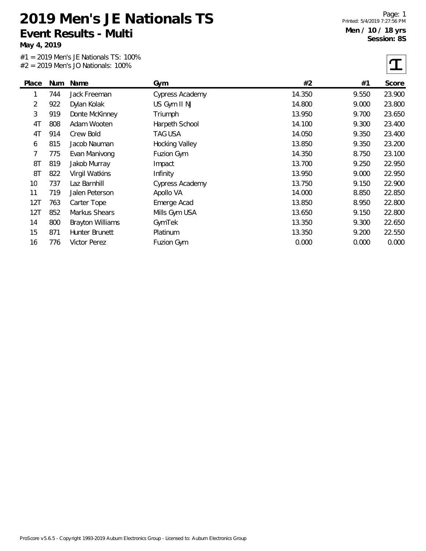**May 4, 2019**

#1 = 2019 Men's JE Nationals TS: 100%  $#2 = 2019$  Men's JO Nationals: 100%

Page: 1 Printed: 5/4/2019 7:27:56 PM **Men / 10 / 18 yrs Session: 8S**

 $\tau$ 

|       |     | $#Z = ZU19$ iviers JO Nationals. TOO 76 |                        |        |       | ┻      |
|-------|-----|-----------------------------------------|------------------------|--------|-------|--------|
| Place | Num | Name                                    | Gym                    | #2     | #1    | Score  |
| 1     | 744 | Jack Freeman                            | <b>Cypress Academy</b> | 14.350 | 9.550 | 23.900 |
| 2     | 922 | Dylan Kolak                             | US Gym II NJ           | 14.800 | 9.000 | 23.800 |
| 3     | 919 | Donte McKinney                          | Triumph                | 13.950 | 9.700 | 23.650 |
| 4T    | 808 | Adam Wooten                             | Harpeth School         | 14.100 | 9.300 | 23.400 |
| 4T    | 914 | Crew Bold                               | TAG USA                | 14.050 | 9.350 | 23.400 |
| 6     | 815 | Jacob Nauman                            | Hocking Valley         | 13.850 | 9.350 | 23.200 |
| 7     | 775 | Evan Manivong                           | Fuzion Gym             | 14.350 | 8.750 | 23.100 |
| 8T    | 819 | Jakob Murray                            | Impact                 | 13.700 | 9.250 | 22.950 |
| 8T    | 822 | Virgil Watkins                          | Infinity               | 13.950 | 9.000 | 22.950 |
| 10    | 737 | Laz Barnhill                            | Cypress Academy        | 13.750 | 9.150 | 22.900 |
| 11    | 719 | Jalen Peterson                          | Apollo VA              | 14.000 | 8.850 | 22.850 |
| 12T   | 763 | Carter Tope                             | Emerge Acad            | 13.850 | 8.950 | 22.800 |
| 12T   | 852 | Markus Shears                           | Mills Gym USA          | 13.650 | 9.150 | 22.800 |
| 14    | 800 | <b>Brayton Williams</b>                 | GymTek                 | 13.350 | 9.300 | 22.650 |
| 15    | 871 | Hunter Brunett                          | Platinum               | 13.350 | 9.200 | 22.550 |
| 16    | 776 | Victor Perez                            | Fuzion Gym             | 0.000  | 0.000 | 0.000  |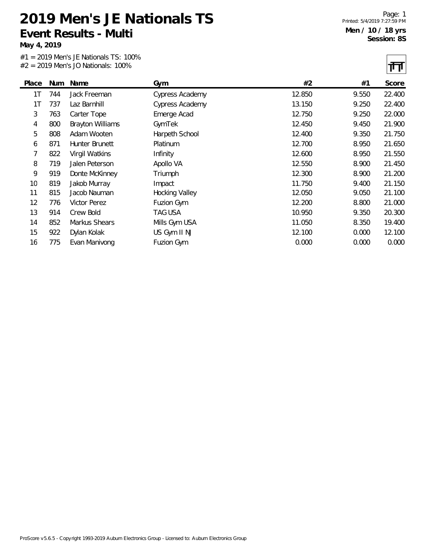**May 4, 2019**

#1 = 2019 Men's JE Nationals TS: 100%  $#2 = 2019$  Men's IO Nationals: 100%

Page: 1 Printed: 5/4/2019 7:27:59 PM **Men / 10 / 18 yrs Session: 8S**

|       |     | $#Z = 2019$ Merry JO Nationals: 100% |                        |        |       | 14 H   |
|-------|-----|--------------------------------------|------------------------|--------|-------|--------|
| Place | Num | Name                                 | Gym                    | #2     | #1    | Score  |
| 1T    | 744 | Jack Freeman                         | <b>Cypress Academy</b> | 12.850 | 9.550 | 22.400 |
| 1T    | 737 | Laz Barnhill                         | <b>Cypress Academy</b> | 13.150 | 9.250 | 22.400 |
| 3     | 763 | Carter Tope                          | Emerge Acad            | 12.750 | 9.250 | 22.000 |
| 4     | 800 | <b>Brayton Williams</b>              | GymTek                 | 12.450 | 9.450 | 21.900 |
| 5     | 808 | Adam Wooten                          | Harpeth School         | 12.400 | 9.350 | 21.750 |
| 6     | 871 | Hunter Brunett                       | Platinum               | 12.700 | 8.950 | 21.650 |
| 7     | 822 | Virgil Watkins                       | Infinity               | 12.600 | 8.950 | 21.550 |
| 8     | 719 | Jalen Peterson                       | Apollo VA              | 12.550 | 8.900 | 21.450 |
| 9     | 919 | Donte McKinney                       | Triumph                | 12.300 | 8.900 | 21.200 |
| 10    | 819 | Jakob Murray                         | Impact                 | 11.750 | 9.400 | 21.150 |
| 11    | 815 | Jacob Nauman                         | <b>Hocking Valley</b>  | 12.050 | 9.050 | 21.100 |
| 12    | 776 | Victor Perez                         | Fuzion Gym             | 12.200 | 8.800 | 21.000 |
| 13    | 914 | Crew Bold                            | TAG USA                | 10.950 | 9.350 | 20.300 |
| 14    | 852 | Markus Shears                        | Mills Gym USA          | 11.050 | 8.350 | 19.400 |
| 15    | 922 | Dylan Kolak                          | US Gym II NJ           | 12.100 | 0.000 | 12.100 |
| 16    | 775 | Evan Manivong                        | Fuzion Gym             | 0.000  | 0.000 | 0.000  |